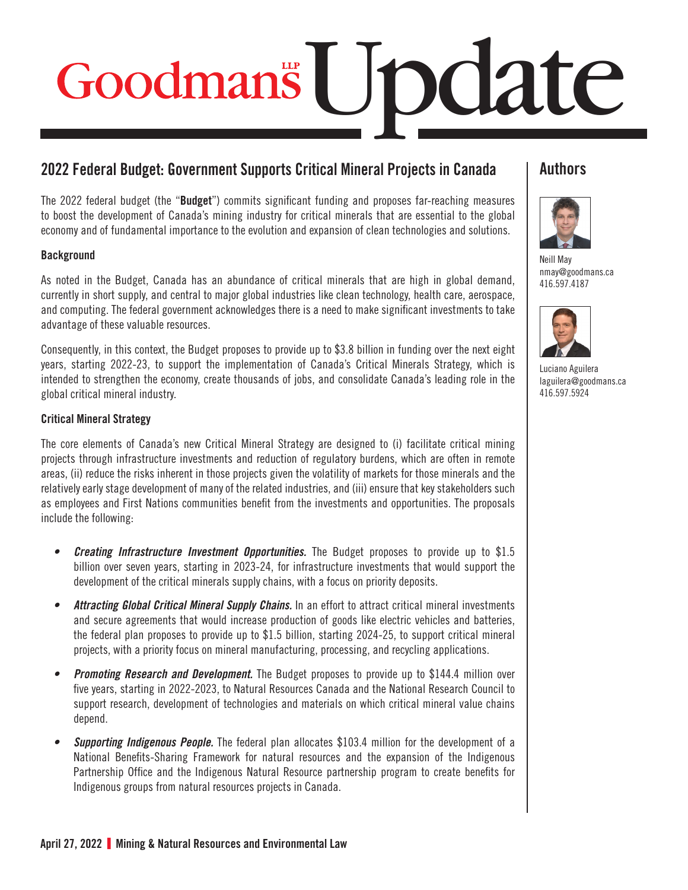# Goodmans | mdate

# **2022 Federal Budget: Government Supports Critical Mineral Projects in Canada**

The 2022 federal budget (the "**Budget**") commits significant funding and proposes far-reaching measures to boost the development of Canada's mining industry for critical minerals that are essential to the global economy and of fundamental importance to the evolution and expansion of clean technologies and solutions.

### **Background**

As noted in the Budget, Canada has an abundance of critical minerals that are high in global demand, currently in short supply, and central to major global industries like clean technology, health care, aerospace, and computing. The federal government acknowledges there is a need to make significant investments to take advantage of these valuable resources.

Consequently, in this context, the Budget proposes to provide up to \$3.8 billion in funding over the next eight years, starting 2022-23, to support the implementation of Canada's Critical Minerals Strategy, which is intended to strengthen the economy, create thousands of jobs, and consolidate Canada's leading role in the global critical mineral industry.

### Critical Mineral Strategy

The core elements of Canada's new Critical Mineral Strategy are designed to (i) facilitate critical mining projects through infrastructure investments and reduction of regulatory burdens, which are often in remote areas, (ii) reduce the risks inherent in those projects given the volatility of markets for those minerals and the relatively early stage development of many of the related industries, and (iii) ensure that key stakeholders such as employees and First Nations communities benefit from the investments and opportunities. The proposals include the following:

- *• Creating Infrastructure Investment Opportunities.* The Budget proposes to provide up to \$1.5 billion over seven years, starting in 2023-24, for infrastructure investments that would support the development of the critical minerals supply chains, with a focus on priority deposits.
- *• Attracting Global Critical Mineral Supply Chains.* In an effort to attract critical mineral investments and secure agreements that would increase production of goods like electric vehicles and batteries, the federal plan proposes to provide up to \$1.5 billion, starting 2024-25, to support critical mineral projects, with a priority focus on mineral manufacturing, processing, and recycling applications.
- *Promoting Research and Development.* The Budget proposes to provide up to \$144.4 million over five years, starting in 2022-2023, to Natural Resources Canada and the National Research Council to support research, development of technologies and materials on which critical mineral value chains depend.
- *• Supporting Indigenous People.* The federal plan allocates \$103.4 million for the development of a National Benefits-Sharing Framework for natural resources and the expansion of the Indigenous Partnership Office and the Indigenous Natural Resource partnership program to create benefits for Indigenous groups from natural resources projects in Canada.

# **Authors**



[Neill May](https://www.goodmans.ca/People/Neill_May) [nmay@goodmans.ca](mailto:nmay@goodmans.ca) 416.597.4187



[Luciano Aguilera](https://www.goodmans.ca/People/Luciano_Aguilera) [laguilera@goodmans.ca](mailto:laguilera@goodmans.ca) 416.597.5924